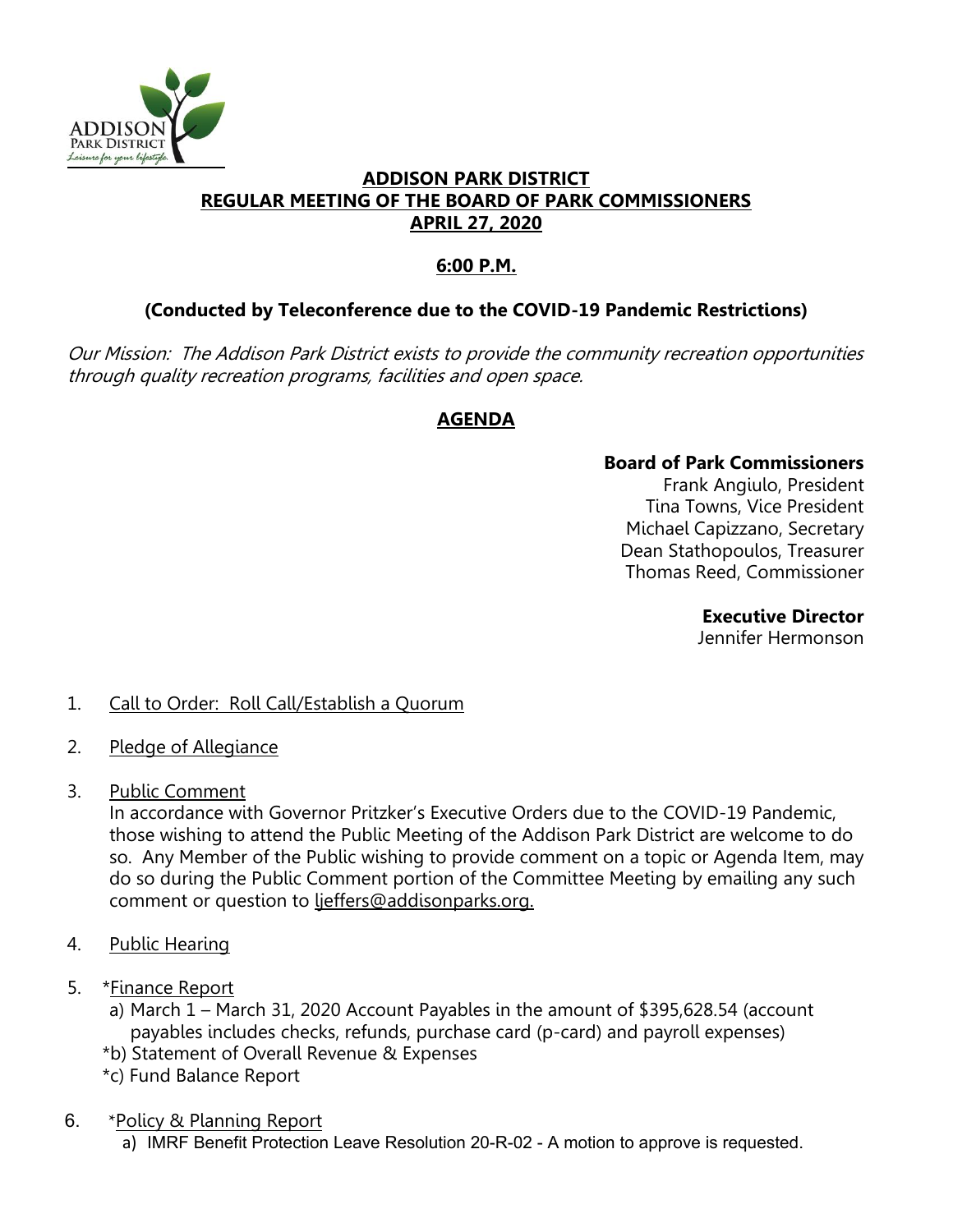

#### **ADDISON PARK DISTRICT REGULAR MEETING OF THE BOARD OF PARK COMMISSIONERS APRIL 27, 2020**

# **6:00 P.M.**

## **(Conducted by Teleconference due to the COVID-19 Pandemic Restrictions)**

Our Mission: The Addison Park District exists to provide the community recreation opportunities through quality recreation programs, facilities and open space.

## **AGENDA**

#### **Board of Park Commissioners**

Frank Angiulo, President Tina Towns, Vice President Michael Capizzano, Secretary Dean Stathopoulos, Treasurer Thomas Reed, Commissioner

**Executive Director** 

Jennifer Hermonson

### 1. Call to Order: Roll Call/Establish a Quorum

- 2. Pledge of Allegiance
- 3. Public Comment

In accordance with Governor Pritzker's Executive Orders due to the COVID-19 Pandemic, those wishing to attend the Public Meeting of the Addison Park District are welcome to do so. Any Member of the Public wishing to provide comment on a topic or Agenda Item, may do so during the Public Comment portion of the Committee Meeting by emailing any such comment or question to ljeffers@addisonparks.org.

- 4. Public Hearing
- 5. \*Finance Report
	- a) March 1 March 31, 2020 Account Payables in the amount of \$395,628.54 (account payables includes checks, refunds, purchase card (p-card) and payroll expenses)
	- \*b) Statement of Overall Revenue & Expenses
	- \*c) Fund Balance Report
- 6. \*Policy & Planning Report
	- a) IMRF Benefit Protection Leave Resolution 20-R-02 A motion to approve is requested.